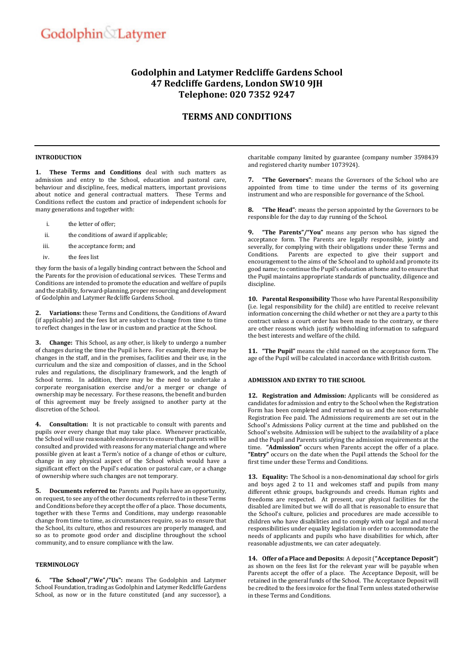# Godolphin Latymer

# **Godolphin and Latymer Redcliffe Gardens School 47 Redcliffe Gardens, London SW10 9JH Telephone: 020 7352 9247**

# **TERMS AND CONDITIONS**

## **INTRODUCTION**

**1. These Terms and Conditions** deal with such matters as admission and entry to the School, education and pastoral care, behaviour and discipline, fees, medical matters, important provisions about notice and general contractual matters. These Terms and Conditions reflect the custom and practice of independent schools for many generations and together with:

- i. the letter of offer;
- ii. the conditions of award if applicable;
- iii. the acceptance form; and
- iv. the fees list

they form the basis of a legally binding contract between the School and the Parents for the provision of educational services. These Terms and Conditions are intended to promote the education and welfare of pupils and the stability, forward-planning, proper resourcing and development of Godolphin and Latymer Redcliffe Gardens School.

**2. Variations:** these Terms and Conditions, the Conditions of Award (if applicable) and the fees list are subject to change from time to time to reflect changes in the law or in custom and practice at the School.

**3. Change:** This School, as any other, is likely to undergo a number of changes during the time the Pupil is here. For example, there may be changes in the staff, and in the premises, facilities and their use, in the curriculum and the size and composition of classes, and in the School rules and regulations, the disciplinary framework, and the length of School terms. In addition, there may be the need to undertake a corporate reorganisation exercise and/or a merger or change of ownership may be necessary. For these reasons, the benefit and burden of this agreement may be freely assigned to another party at the discretion of the School.

**4. Consultation:** It is not practicable to consult with parents and pupils over every change that may take place. Whenever practicable, the School will use reasonable endeavours to ensure that parents will be consulted and provided with reasons for any material change and where possible given at least a Term's notice of a change of ethos or culture, change in any physical aspect of the School which would have a significant effect on the Pupil's education or pastoral care, or a change of ownership where such changes are not temporary.

**5. Documents referred to:** Parents and Pupils have an opportunity, on request, to see any of the other documents referred to in these Terms and Conditions before they accept the offer of a place. Those documents, together with these Terms and Conditions, may undergo reasonable change from time to time, as circumstances require, so as to ensure that the School, its culture, ethos and resources are properly managed, and so as to promote good order and discipline throughout the school community, and to ensure compliance with the law.

# **TERMINOLOGY**

**6. "The School"/"We"/"Us":** means The Godolphin and Latymer School Foundation, trading as Godolphin and Latymer Redcliffe Gardens School, as now or in the future constituted (and any successor), a

charitable company limited by guarantee (company number 3598439 and registered charity number 1073924).

**7. "The Governors"**: means the Governors of the School who are appointed from time to time under the terms of its governing instrument and who are responsible for governance of the School.

**8. "The Head"**: means the person appointed by the Governors to be responsible for the day to day running of the School.

**9. "The Parents"/"You"** means any person who has signed the acceptance form. The Parents are legally responsible, jointly and severally, for complying with their obligations under these Terms and Conditions. Parents are expected to give their support and encouragement to the aims of the School and to uphold and promote its good name; to continue the Pupil's education at home and to ensure that the Pupil maintains appropriate standards of punctuality, diligence and discipline.

**10. Parental Responsibility** Those who have Parental Responsibility (i.e. legal responsibility for the child) are entitled to receive relevant information concerning the child whether or not they are a party to this contract unless a court order has been made to the contrary, or there are other reasons which justify withholding information to safeguard the best interests and welfare of the child.

**11. "The Pupil"** means the child named on the acceptance form. The age of the Pupil will be calculated in accordance with British custom.

# **ADMISSION AND ENTRY TO THE SCHOOL**

<span id="page-0-0"></span>**12. Registration and Admission:** Applicants will be considered as candidates for admission and entry to the School when the Registration Form has been completed and returned to us and the non-returnable Registration Fee paid. The Admissions requirements are set out in the School's Admissions Policy current at the time and published on the School's website. Admission will be subject to the availability of a place and the Pupil and Parents satisfying the admission requirements at the time. **"Admission"** occurs when Parents accept the offer of a place. **"Entry"** occurs on the date when the Pupil attends the School for the first time under these Terms and Conditions.

**13. Equality:** The School is a non-denominational day school for girls and boys aged 2 to 11 and welcomes staff and pupils from many different ethnic groups, backgrounds and creeds. Human rights and freedoms are respected. At present, our physical facilities for the disabled are limited but we will do all that is reasonable to ensure that the School's culture, policies and procedures are made accessible to children who have disabilities and to comply with our legal and moral responsibilities under equality legislation in order to accommodate the needs of applicants and pupils who have disabilities for which, after reasonable adjustments, we can cater adequately.

**14. Offer of a Place and Deposits:** A deposit (**"Acceptance Deposit"**) as shown on the fees list for the relevant year will be payable when Parents accept the offer of a place. The Acceptance Deposit, will be retained in the general funds of the School. The Acceptance Deposit will be credited to the fees invoice for the final Term unless stated otherwise in these Terms and Conditions.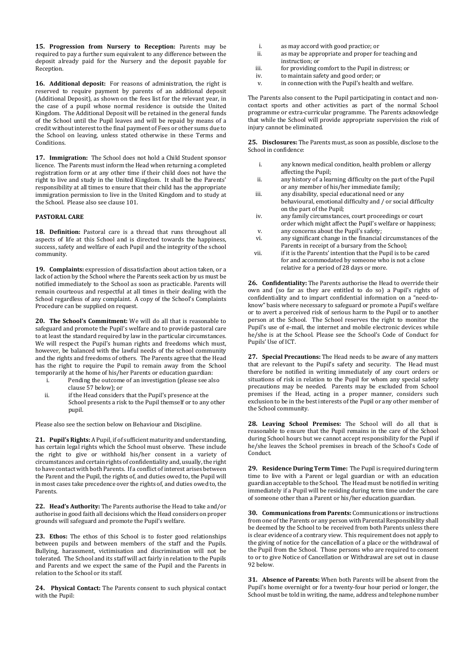**15. Progression from Nursery to Reception:** Parents may be required to pay a further sum equivalent to any difference between the deposit already paid for the Nursery and the deposit payable for Reception.

**16. Additional deposit:** For reasons of administration, the right is reserved to require payment by parents of an additional deposit (Additional Deposit), as shown on the fees list for the relevant year, in the case of a pupil whose normal residence is outside the United Kingdom. The Additional Deposit will be retained in the general funds of the School until the Pupil leaves and will be repaid by means of a credit without interest to the final payment of Fees or other sums due to the School on leaving, unless stated otherwise in these Terms and Conditions.

**17. Immigration:** The School does not hold a Child Student sponsor licence. The Parents must inform the Head when returning a completed registration form or at any other time if their child does not have the right to live and study in the United Kingdom. It shall be the Parents' responsibility at all times to ensure that their child has the appropriate immigration permission to live in the United Kingdom and to study at the School. Please also see clause [101.](#page-6-0) 

# **PASTORAL CARE**

**18. Definition:** Pastoral care is a thread that runs throughout all aspects of life at this School and is directed towards the happiness, success, safety and welfare of each Pupil and the integrity of the school community.

<span id="page-1-1"></span>**19. Complaints:** expression of dissatisfaction about action taken, or a lack of action by the School where the Parents seek action by us must be notified immediately to the School as soon as practicable. Parents will remain courteous and respectful at all times in their dealing with the School regardless of any complaint. A copy of the School's Complaints Procedure can be supplied on request.

<span id="page-1-0"></span>**20. The School's Commitment:** We will do all that is reasonable to safeguard and promote the Pupil's welfare and to provide pastoral care to at least the standard required by law in the particular circumstances. We will respect the Pupil's human rights and freedoms which must, however, be balanced with the lawful needs of the school community and the rights and freedoms of others. The Parents agree that the Head has the right to require the Pupil to remain away from the School temporarily at the home of his/her Parents or education guardian:

- i. Pending the outcome of an investigation (please see also clause 57 below); or
- ii. if the Head considers that the Pupil's presence at the School presents a risk to the Pupil themself or to any other pupil.

Please also see the section below on Behaviour and Discipline.

**21. Pupil's Rights:** A Pupil, if of sufficient maturity and understanding, has certain legal rights which the School must observe. These include the right to give or withhold his/her consent in a variety of circumstances and certain rights of confidentiality and, usually, the right to have contact with both Parents. If a conflict of interest arises between the Parent and the Pupil, the rights of, and duties owed to, the Pupil will in most cases take precedence over the rights of, and duties owed to, the Parents.

**22. Head's Authority:** The Parents authorise the Head to take and/or authorise in good faith all decisions which the Head considers on proper grounds will safeguard and promote the Pupil's welfare.

**23. Ethos:** The ethos of this School is to foster good relationships between pupils and between members of the staff and the Pupils. Bullying, harassment, victimisation and discrimination will not be tolerated. The School and its staff will act fairly in relation to the Pupils and Parents and we expect the same of the Pupil and the Parents in relation to the School or its staff.

**24. Physical Contact:** The Parents consent to such physical contact with the Pupil:

- i. as may accord with good practice; or
- ii. as may be appropriate and proper for teaching and instruction; or
- iii. for providing comfort to the Pupil in distress; or
- iv. to maintain safety and good order; or
- v. in connection with the Pupil's health and welfare.

The Parents also consent to the Pupil participating in contact and noncontact sports and other activities as part of the normal School programme or extra-curricular programme. The Parents acknowledge that while the School will provide appropriate supervision the risk of injury cannot be eliminated.

**25. Disclosures:** The Parents must, as soon as possible, disclose to the School in confidence:

- i. any known medical condition, health problem or allergy affecting the Pupil;
- ii. any history of a learning difficulty on the part of the Pupil or any member of his/her immediate family;
- iii. any disability, special educational need or any behavioural, emotional difficulty and / or social difficulty on the part of the Pupil;
- iv. any family circumstances, court proceedings or court order which might affect the Pupil's welfare or happiness; v. any concerns about the Pupil's safety;
- vi. any significant change in the financial circumstances of the Parents in receipt of a bursary from the School;
- vii. if it is the Parents' intention that the Pupil is to be cared for and accommodated by someone who is not a close relative for a period of 28 days or more.

**26. Confidentiality:** The Parents authorise the Head to override their own and (so far as they are entitled to do so) a Pupil's rights of confidentiality and to impart confidential information on a "need-toknow" basis where necessary to safeguard or promote a Pupil's welfare or to avert a perceived risk of serious harm to the Pupil or to another person at the School. The School reserves the right to monitor the Pupil's use of e-mail, the internet and mobile electronic devices while he/she is at the School. Please see the School's Code of Conduct for Pupils' Use of ICT.

**27. Special Precautions:** The Head needs to be aware of any matters that are relevant to the Pupil's safety and security. The Head must therefore be notified in writing immediately of any court orders or situations of risk in relation to the Pupil for whom any special safety precautions may be needed. Parents may be excluded from School premises if the Head, acting in a proper manner, considers such exclusion to be in the best interests of the Pupil or any other member of the School community.

**28. Leaving School Premises:** The School will do all that is reasonable to ensure that the Pupil remains in the care of the School during School hours but we cannot accept responsibility for the Pupil if he/she leaves the School premises in breach of the School's Code of Conduct.

**29. Residence During Term Time:** The Pupil is required during term time to live with a Parent or legal guardian or with an education guardian acceptable to the School. The Head must be notified in writing immediately if a Pupil will be residing during term time under the care of someone other than a Parent or his/her education guardian.

**30. Communications from Parents:** Communications or instructions from one of the Parents or any person with Parental Responsibility shall be deemed by the School to be received from both Parents unless there is clear evidence of a contrary view. This requirement does not apply to the giving of notice for the cancellation of a place or the withdrawal of the Pupil from the School. Those persons who are required to consent to or to give Notice of Cancellation or Withdrawal are set out in clause [92](#page-5-0) below.

**31. Absence of Parents:** When both Parents will be absent from the Pupil's home overnight or for a twenty-four hour period or longer, the School must be told in writing, the name, address and telephone number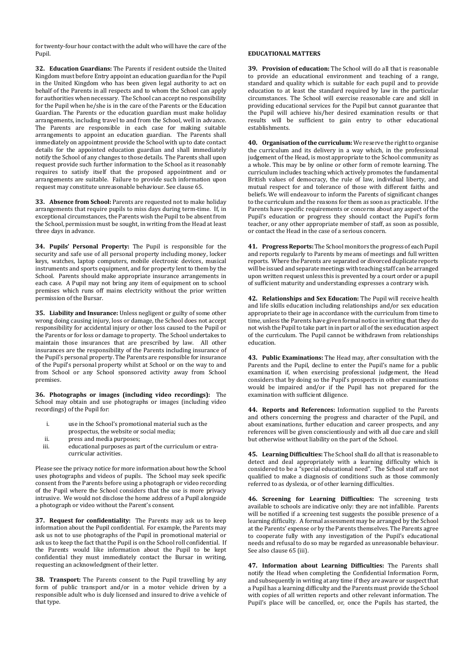for twenty-four hour contact with the adult who will have the care of the Pupil.

**32. Education Guardians:** The Parents if resident outside the United Kingdom must before Entry appoint an education guardian for the Pupil in the United Kingdom who has been given legal authority to act on behalf of the Parents in all respects and to whom the School can apply for authorities when necessary. The School can accept no responsibility for the Pupil when he/she is in the care of the Parents or the Education Guardian. The Parents or the education guardian must make holiday arrangements, including travel to and from the School, well in advance. The Parents are responsible in each case for making suitable arrangements to appoint an education guardian. The Parents shall immediately on appointment provide the School with up to date contact details for the appointed education guardian and shall immediately notify the School of any changes to those details. The Parents shall upon request provide such further information to the School as it reasonably requires to satisfy itself that the proposed appointment and or arrangements are suitable. Failure to provide such information upon request may constitute unreasonable behaviour. See clause [65.](#page-4-0) 

**33. Absence from School:** Parents are requested not to make holiday arrangements that require pupils to miss days during term-time. If, in exceptional circumstances, the Parents wish the Pupil to be absent from the School, permission must be sought, in writing from the Head at least three days in advance.

**34. Pupils' Personal Property:** The Pupil is responsible for the security and safe use of all personal property including money, locker keys, watches, laptop computers, mobile electronic devices, musical instruments and sports equipment, and for property lent to them by the School. Parents should make appropriate insurance arrangements in each case. A Pupil may not bring any item of equipment on to school premises which runs off mains electricity without the prior written permission of the Bursar.

**35. Liability and Insurance:** Unless negligent or guilty of some other wrong doing causing injury, loss or damage, the School does not accept responsibility for accidental injury or other loss caused to the Pupil or the Parents or for loss or damage to property. The School undertakes to maintain those insurances that are prescribed by law. All other insurances are the responsibility of the Parents including insurance of the Pupil's personal property. The Parents are responsible for insurance of the Pupil's personal property whilst at School or on the way to and from School or any School sponsored activity away from School premises.

**36. Photographs or images (including video recordings):** The School may obtain and use photographs or images (including video recordings) of the Pupil for:

- i. use in the School's promotional material such as the
- prospectus, the website or social media;
- ii. press and media purposes;<br>iii. educational purposes as pa
- educational purposes as part of the curriculum or extracurricular activities.

Please see the privacy notice for more information about how the School uses photographs and videos of pupils. The School may seek specific consent from the Parents before using a photograph or video recording of the Pupil where the School considers that the use is more privacy intrusive. We would not disclose the home address of a Pupil alongside a photograph or video without the Parent's consent.

**37. Request for confidentiality:** The Parents may ask us to keep information about the Pupil confidential. For example, the Parents may ask us not to use photographs of the Pupil in promotional material or ask us to keep the fact that the Pupil is on the School roll confidential. If the Parents would like information about the Pupil to be kept confidential they must immediately contact the Bursar in writing, requesting an acknowledgment of their letter.

**38. Transport:** The Parents consent to the Pupil travelling by any form of public transport and/or in a motor vehicle driven by a responsible adult who is duly licensed and insured to drive a vehicle of that type.

#### **EDUCATIONAL MATTERS**

**39. Provision of education:** The School will do all that is reasonable to provide an educational environment and teaching of a range, standard and quality which is suitable for each pupil and to provide education to at least the standard required by law in the particular circumstances. The School will exercise reasonable care and skill in providing educational services for the Pupil but cannot guarantee that the Pupil will achieve his/her desired examination results or that results will be sufficient to gain entry to other educational establishments.

**40. Organisation of the curriculum:** We reserve the right to organise the curriculum and its delivery in a way which, in the professional judgement of the Head, is most appropriate to the School community as a whole. This may be by online or other form of remote learning. The curriculum includes teaching which actively promotes the fundamental British values of democracy, the rule of law, individual liberty, and mutual respect for and tolerance of those with different faiths and beliefs. We will endeavour to inform the Parents of significant changes to the curriculum and the reasons for them as soon as practicable. If the Parents have specific requirements or concerns about any aspect of the Pupil's education or progress they should contact the Pupil's form teacher, or any other appropriate member of staff, as soon as possible, or contact the Head in the case of a serious concern.

**41. Progress Reports:** The School monitors the progress of each Pupil and reports regularly to Parents by means of meetings and full written reports. Where the Parents are separated or divorced duplicate reports will be issued and separate meetings with teaching staff can be arranged upon written request unless this is prevented by a court order or a pupil of sufficient maturity and understanding expresses a contrary wish.

**42. Relationships and Sex Education:** The Pupil will receive health and life skills education including relationships and/or sex education appropriate to their age in accordance with the curriculum from time to time, unless the Parents have given formal notice in writing that they do not wish the Pupil to take part in in part or all of the sex education aspect of the curriculum. The Pupil cannot be withdrawn from relationships education.

**43. Public Examinations:** The Head may, after consultation with the Parents and the Pupil, decline to enter the Pupil's name for a public examination if, when exercising professional judgement, the Head considers that by doing so the Pupil's prospects in other examinations would be impaired and/or if the Pupil has not prepared for the examination with sufficient diligence.

**44. Reports and References:** Information supplied to the Parents and others concerning the progress and character of the Pupil, and about examinations, further education and career prospects, and any references will be given conscientiously and with all due care and skill but otherwise without liability on the part of the School.

**45. Learning Difficulties:** The School shall do all that is reasonable to detect and deal appropriately with a learning difficulty which is considered to be a "special educational need". The School staff are not qualified to make a diagnosis of conditions such as those commonly referred to as dyslexia, or of other learning difficulties.

**46. Screening for Learning Difficulties:** The screening tests available to schools are indicative only: they are not infallible. Parents will be notified if a screening test suggests the possible presence of a learning difficulty. A formal assessment may be arranged by the School at the Parents' expense or by the Parents themselves. The Parents agree to cooperate fully with any investigation of the Pupil's educational needs and refusal to do so may be regarded as unreasonable behaviour. See also clause 65 (iii).

**47. Information about Learning Difficulties:** The Parents shall notify the Head when completing the Confidential Information Form, and subsequently in writing at any time if they are aware or suspect that a Pupil has a learning difficulty and the Parents must provide the School with copies of all written reports and other relevant information. The Pupil's place will be cancelled, or, once the Pupils has started, the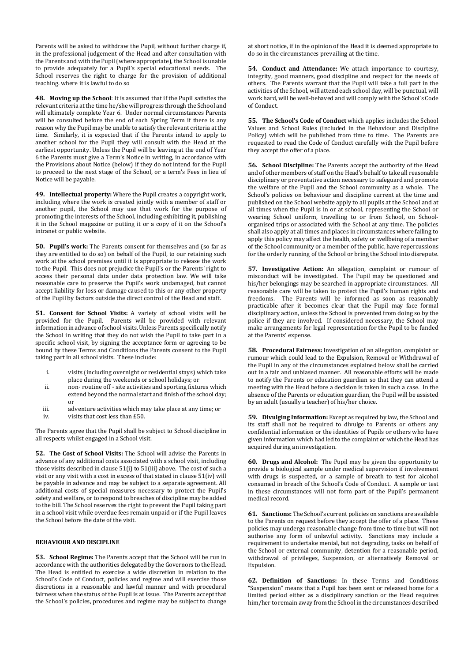Parents will be asked to withdraw the Pupil, without further charge if, in the professional judgement of the Head and after consultation with the Parents and with the Pupil (where appropriate), the School is unable to provide adequately for a Pupil's special educational needs. The School reserves the right to charge for the provision of additional teaching. where it is lawful to do so

**48. Moving up the School**: It is assumed that if the Pupil satisfies the relevant criteria at the time he/she will progress through the School and will ultimately complete Year 6. Under normal circumstances Parents will be consulted before the end of each Spring Term if there is any reason why the Pupil may be unable to satisfy the relevant criteria at the time. Similarly, it is expected that if the Parents intend to apply to another school for the Pupil they will consult with the Head at the earliest opportunity. Unless the Pupil will be leaving at the end of Year 6 the Parents must give a Term's Notice in writing, in accordance with the Provisions about Notice (below) if they do not intend for the Pupil to proceed to the next stage of the School, or a term's Fees in lieu of Notice will be payable.

**49. Intellectual property:** Where the Pupil creates a copyright work, including where the work is created jointly with a member of staff or another pupil, the School may use that work for the purpose of promoting the interests of the School, including exhibiting it, publishing it in the School magazine or putting it or a copy of it on the School's intranet or public website.

**50. Pupil's work:** The Parents consent for themselves and (so far as they are entitled to do so) on behalf of the Pupil, to our retaining such work at the school premises until it is appropriate to release the work to the Pupil. This does not prejudice the Pupil's or the Parents' right to access their personal data under data protection law. We will take reasonable care to preserve the Pupil's work undamaged, but cannot accept liability for loss or damage caused to this or any other property of the Pupil by factors outside the direct control of the Head and staff.

**51. Consent for School Visits:** A variety of school visits will be provided for the Pupil. Parents will be provided with relevant information in advance of school visits. Unless Parents specifically notify the School in writing that they do not wish the Pupil to take part in a specific school visit, by signing the acceptance form or agreeing to be bound by these Terms and Conditions the Parents consent to the Pupil taking part in all school visits. These include:

- i. visits (including overnight or residential stays) which take place during the weekends or school holidays; or
- ii. non- routine off site activities and sporting fixtures which extend beyond the normal start and finish of the school day; or
- iii. adventure activities which may take place at any time; or
- iv. visits that cost less than £50.

The Parents agree that the Pupil shall be subject to School discipline in all respects whilst engaged in a School visit.

**52. The Cost of School Visits:** The School will advise the Parents in advance of any additional costs associated with a school visit, including those visits described in clause 51(i) to 51(iii) above. The cost of such a visit or any visit with a cost in excess of that stated in clause 51(iv) will be payable in advance and may be subject to a separate agreement. All additional costs of special measures necessary to protect the Pupil's safety and welfare, or to respond to breaches of discipline may be added to the bill. The School reserves the right to prevent the Pupil taking part in a school visit while overdue fees remain unpaid or if the Pupil leaves the School before the date of the visit.

# **BEHAVIOUR AND DISCIPLINE**

**53. School Regime:** The Parents accept that the School will be run in accordance with the authorities delegated by the Governors to the Head. The Head is entitled to exercise a wide discretion in relation to the School's Code of Conduct, policies and regime and will exercise those discretions in a reasonable and lawful manner and with procedural fairness when the status of the Pupil is at issue. The Parents accept that the School's policies, procedures and regime may be subject to change

at short notice, if in the opinion of the Head it is deemed appropriate to do so in the circumstances prevailing at the time.

**54. Conduct and Attendance:** We attach importance to courtesy, integrity, good manners, good discipline and respect for the needs of others. The Parents warrant that the Pupil will take a full part in the activities of the School, will attend each school day, will be punctual, will work hard, will be well-behaved and will comply with the School's Code of Conduct.

**55. The School's Code of Conduct** which applies includes the School Values and School Rules (included in the Behaviour and Discipline Policy) which will be published from time to time. The Parents are requested to read the Code of Conduct carefully with the Pupil before they accept the offer of a place.

**56. School Discipline:** The Parents accept the authority of the Head and of other members of staff on the Head's behalf to take all reasonable disciplinary or preventative action necessary to safeguard and promote the welfare of the Pupil and the School community as a whole. The School's policies on behaviour and discipline current at the time and published on the School website apply to all pupils at the School and at all times when the Pupil is in or at school, representing the School or wearing School uniform, travelling to or from School, on Schoolorganised trips or associated with the School at any time. The policies shall also apply at all times and places in circumstances where failing to apply this policy may affect the health, safety or wellbeing of a member of the School community or a member of the public, have repercussions for the orderly running of the School or bring the School into disrepute.

**57. Investigative Action:** An allegation, complaint or rumour of misconduct will be investigated. The Pupil may be questioned and his/her belongings may be searched in appropriate circumstances. All reasonable care will be taken to protect the Pupil's human rights and freedoms. The Parents will be informed as soon as reasonably practicable after it becomes clear that the Pupil may face formal disciplinary action, unless the School is prevented from doing so by the police if they are involved. If considered necessary, the School may make arrangements for legal representation for the Pupil to be funded at the Parents' expense.

**58. Procedural Fairness:** Investigation of an allegation, complaint or rumour which could lead to the Expulsion, Removal or Withdrawal of the Pupil in any of the circumstances explained below shall be carried out in a fair and unbiased manner. All reasonable efforts will be made to notify the Parents or education guardian so that they can attend a meeting with the Head before a decision is taken in such a case. In the absence of the Parents or education guardian, the Pupil will be assisted by an adult (usually a teacher) of his/her choice.

**59. Divulging Information:** Except as required by law, the School and its staff shall not be required to divulge to Parents or others any confidential information or the identities of Pupils or others who have given information which had led to the complaint or which the Head has acquired during an investigation.

**60. Drugs and Alcohol:** The Pupil may be given the opportunity to provide a biological sample under medical supervision if involvement with drugs is suspected, or a sample of breath to test for alcohol consumed in breach of the School's Code of Conduct. A sample or test in these circumstances will not form part of the Pupil's permanent medical record.

**61. Sanctions:** The School's current policies on sanctions are available to the Parents on request before they accept the offer of a place. These policies may undergo reasonable change from time to time but will not authorise any form of unlawful activity. Sanctions may include a requirement to undertake menial, but not degrading, tasks on behalf of the School or external community, detention for a reasonable period, withdrawal of privileges, Suspension, or alternatively Removal or Expulsion.

**62. Definition of Sanctions:** In these Terms and Conditions "Suspension" means that a Pupil has been sent or released home for a limited period either as a disciplinary sanction or the Head requires him/her to remain away from the School in the circumstances described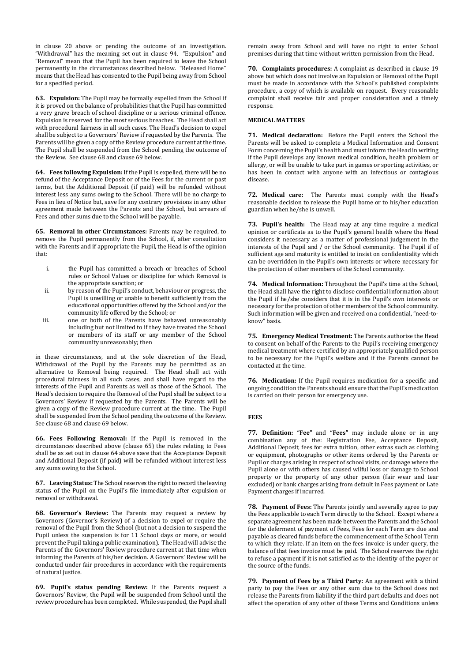in clause [20](#page-1-0) above or pending the outcome of an investigation. "Withdrawal" has the meaning set out in clause [94.](#page-5-1) "Expulsion" and "Removal" mean that the Pupil has been required to leave the School permanently in the circumstances described below. "Released Home" means that the Head has consented to the Pupil being away from School for a specified period.

**63. Expulsion:** The Pupil may be formally expelled from the School if it is proved on the balance of probabilities that the Pupil has committed a very grave breach of school discipline or a serious criminal offence. Expulsion is reserved for the most serious breaches. The Head shall act with procedural fairness in all such cases. The Head's decision to expel shall be subject to a Governors' Review if requested by the Parents. The Parents will be given a copy of the Review procedure current at the time. The Pupil shall be suspended from the School pending the outcome of the Review. See clause [68](#page-4-1) and clause [69](#page-4-2) below.

<span id="page-4-3"></span>**64. Fees following Expulsion:** If the Pupil is expelled, there will be no refund of the Acceptance Deposit or of the Fees for the current or past terms, but the Additional Deposit (if paid) will be refunded without interest less any sums owing to the School. There will be no charge to Fees in lieu of Notice but, save for any contrary provisions in any other agreement made between the Parents and the School, but arrears of Fees and other sums due to the School will be payable.

<span id="page-4-0"></span>**65. Removal in other Circumstances:** Parents may be required, to remove the Pupil permanently from the School, if, after consultation with the Parents and if appropriate the Pupil, the Head is of the opinion that:

- i. the Pupil has committed a breach or breaches of School rules or School Values or discipline for which Removal is the appropriate sanction; or
- ii. by reason of the Pupil's conduct, behaviour or progress, the Pupil is unwilling or unable to benefit sufficiently from the educational opportunities offered by the School and/or the community life offered by the School; or
- iii. one or both of the Parents have behaved unreasonably including but not limited to if they have treated the School or members of its staff or any member of the School community unreasonably; then

in these circumstances, and at the sole discretion of the Head, Withdrawal of the Pupil by the Parents may be permitted as an alternative to Removal being required. The Head shall act with procedural fairness in all such cases, and shall have regard to the interests of the Pupil and Parents as well as those of the School. The Head's decision to require the Removal of the Pupil shall be subject to a Governors' Review if requested by the Parents. The Parents will be given a copy of the Review procedure current at the time. The Pupil shall be suspended from the School pending the outcome of the Review. See clause [68](#page-4-1) and clause [69](#page-4-2) below.

**66. Fees Following Removal:** If the Pupil is removed in the circumstances described above (clause [65\)](#page-4-0) the rules relating to Fees shall be as set out in clause [64](#page-4-3) above save that the Acceptance Deposit and Additional Deposit (if paid) will be refunded without interest less any sums owing to the School.

**67. Leaving Status:** The School reserves the right to record the leaving status of the Pupil on the Pupil's file immediately after expulsion or removal or withdrawal.

<span id="page-4-1"></span>**68. Governor's Review:** The Parents may request a review by Governors (Governor's Review) of a decision to expel or require the removal of the Pupil from the School (but not a decision to suspend the Pupil unless the suspension is for 11 School days or more, or would prevent the Pupil taking a public examination). The Head will advise the Parents of the Governors' Review procedure current at that time when informing the Parents of his/her decision. A Governors' Review will be conducted under fair procedures in accordance with the requirements of natural justice.

<span id="page-4-2"></span>**69. Pupil's status pending Review:** If the Parents request a Governors' Review, the Pupil will be suspended from School until the review procedure has been completed. While suspended, the Pupil shall remain away from School and will have no right to enter School premises during that time without written permission from the Head.

**70. Complaints procedures:** A complaint as described in clause [19](#page-1-1) above but which does not involve an Expulsion or Removal of the Pupil must be made in accordance with the School's published complaints procedure, a copy of which is available on request. Every reasonable complaint shall receive fair and proper consideration and a timely response.

# **MEDICAL MATTERS**

**71. Medical declaration:** Before the Pupil enters the School the Parents will be asked to complete a Medical Information and Consent Form concerning the Pupil's health and must inform the Head in writing if the Pupil develops any known medical condition, health problem or allergy, or will be unable to take part in games or sporting activities, or has been in contact with anyone with an infectious or contagious disease.

**72. Medical care:** The Parents must comply with the Head's reasonable decision to release the Pupil home or to his/her education guardian when he/she is unwell.

**73. Pupil's health:** The Head may at any time require a medical opinion or certificate as to the Pupil's general health where the Head considers it necessary as a matter of professional judgement in the interests of the Pupil and / or the School community. The Pupil if of sufficient age and maturity is entitled to insist on confidentiality which can be overridden in the Pupil's own interests or where necessary for the protection of other members of the School community.

**74. Medical Information:** Throughout the Pupil's time at the School, the Head shall have the right to disclose confidential information about the Pupil if he/she considers that it is in the Pupil's own interests or necessary for the protection of other members of the School community. Such information will be given and received on a confidential, "need-toknow" basis.

**75. Emergency Medical Treatment:** The Parents authorise the Head to consent on behalf of the Parents to the Pupil's receiving emergency medical treatment where certified by an appropriately qualified person to be necessary for the Pupil's welfare and if the Parents cannot be contacted at the time.

**76. Medication:** If the Pupil requires medication for a specific and ongoing condition the Parents should ensure that the Pupil's medication is carried on their person for emergency use.

# **FEES**

**77. Definition: "Fee"** and **"Fees"** may include alone or in any combination any of the: Registration Fee, Acceptance Deposit, Additional Deposit, fees for extra tuition, other extras such as clothing or equipment, photographs or other items ordered by the Parents or Pupil or charges arising in respect of school visits, or damage where the Pupil alone or with others has caused wilful loss or damage to School property or the property of any other person (fair wear and tear excluded) or bank charges arising from default in Fees payment or Late Payment charges if incurred.

**78. Payment of Fees:** The Parents jointly and severally agree to pay the Fees applicable to each Term directly to the School. Except where a separate agreement has been made between the Parents and the School for the deferment of payment of Fees, Fees for each Term are due and payable as cleared funds before the commencement of the School Term to which they relate. If an item on the fees invoice is under query, the balance of that fees invoice must be paid. The School reserves the right to refuse a payment if it is not satisfied as to the identity of the payer or the source of the funds.

**79. Payment of Fees by a Third Party:** An agreement with a third party to pay the Fees or any other sum due to the School does not release the Parents from liability if the third part defaults and does not affect the operation of any other of these Terms and Conditions unless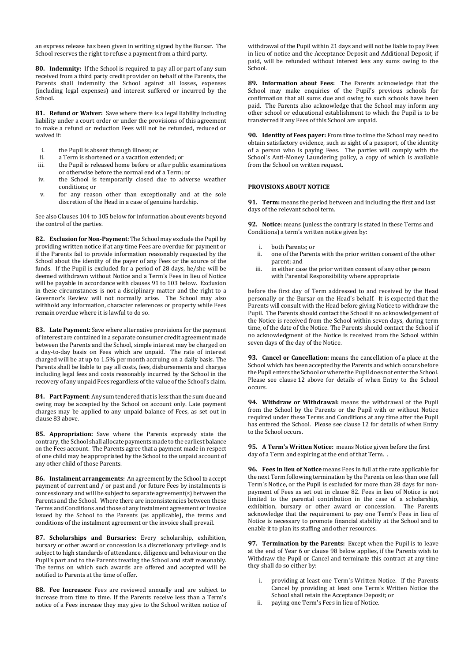an express release has been given in writing signed by the Bursar. The School reserves the right to refuse a payment from a third party.

**80. Indemnity:** If the School is required to pay all or part of any sum received from a third party credit provider on behalf of the Parents, the Parents shall indemnify the School against all losses, expenses (including legal expenses) and interest suffered or incurred by the School.

**81. Refund or Waiver:** Save where there is a legal liability including liability under a court order or under the provisions of this agreement to make a refund or reduction Fees will not be refunded, reduced or waived if:

- i. the Pupil is absent through illness; or<br>ii a Term is shortened or a vacation extra
- a Term is shortened or a vacation extended; or
- iii. the Pupil is released home before or after public examinations or otherwise before the normal end of a Term; or
- iv. the School is temporarily closed due to adverse weather conditions; or
- v. for any reason other than exceptionally and at the sole discretion of the Head in a case of genuine hardship.

See also Clauses 104 to 105 below for information about events beyond the control of the parties.

<span id="page-5-3"></span>**82. Exclusion for Non-Payment**: The School may exclude the Pupil by providing written notice if at any time Fees are overdue for payment or if the Parents fail to provide information reasonably requested by the School about the identity of the payer of any Fees or the source of the funds. If the Pupil is excluded for a period of 28 days, he/she will be deemed withdrawn without Notice and a Term's Fees in lieu of Notice will be payable in accordance with clause[s 91](#page-5-2) to 103 below. Exclusion in these circumstances is not a disciplinary matter and the right to a Governor's Review will not normally arise. The School may also withhold any information, character references or property while Fees remain overdue where it is lawful to do so.

**83. Late Payment:** Save where alternative provisions for the payment of interest are contained in a separate consumer credit agreement made between the Parents and the School, simple interest may be charged on a day-to-day basis on Fees which are unpaid. The rate of interest charged will be at up to 1.5% per month accruing on a daily basis. The Parents shall be liable to pay all costs, fees, disbursements and charges including legal fees and costs reasonably incurred by the School in the recovery of any unpaid Fees regardless of the value of the School's claim.

**84. Part Payment**: Any sum tendered that is less than the sum due and owing may be accepted by the School on account only. Late payment charges may be applied to any unpaid balance of Fees, as set out in clause 83 above.

**85. Appropriation:** Save where the Parents expressly state the contrary, the School shall allocate payments made to the earliest balance on the Fees account. The Parents agree that a payment made in respect of one child may be appropriated by the School to the unpaid account of any other child of those Parents.

**86. Instalment arrangements:** An agreement by the School to accept payment of current and / or past and /or future Fees by instalments is concessionary and will be subject to separate agreement(s) between the Parents and the School. Where there are inconsistencies between these Terms and Conditions and those of any instalment agreement or invoice issued by the School to the Parents (as applicable), the terms and conditions of the instalment agreement or the invoice shall prevail.

**87. Scholarships and Bursaries:** Every scholarship, exhibition, bursary or other award or concession is a discretionary privilege and is subject to high standards of attendance, diligence and behaviour on the Pupil's part and to the Parents treating the School and staff reasonably. The terms on which such awards are offered and accepted will be notified to Parents at the time of offer.

**88. Fee Increases:** Fees are reviewed annually and are subject to increase from time to time. If the Parents receive less than a Term's notice of a Fees increase they may give to the School written notice of withdrawal of the Pupil within 21 days and will not be liable to pay Fees in lieu of notice and the Acceptance Deposit and Additional Deposit, if paid, will be refunded without interest less any sums owing to the School.

**89. Information about Fees:** The Parents acknowledge that the School may make enquiries of the Pupil's previous schools for confirmation that all sums due and owing to such schools have been paid. The Parents also acknowledge that the School may inform any other school or educational establishment to which the Pupil is to be transferred if any Fees of this School are unpaid.

**90. Identity of Fees payer:** From time to time the School may need to obtain satisfactory evidence, such as sight of a passport, of the identity of a person who is paying Fees. The parties will comply with the School's Anti-Money Laundering policy, a copy of which is available from the School on written request.

## **PROVISIONS ABOUT NOTICE**

<span id="page-5-2"></span>**91. Term:** means the period between and including the first and last days of the relevant school term.

<span id="page-5-0"></span>**92. Notice**: means (unless the contrary is stated in these Terms and Conditions) a term's written notice given by:

- i. both Parents; or
- ii. one of the Parents with the prior written consent of the other parent; and
- iii. in either case the prior written consent of any other person with Parental Responsibility where appropriate

before the first day of Term addressed to and received by the Head personally or the Bursar on the Head's behalf. It is expected that the Parents will consult with the Head before giving Notice to withdraw the Pupil. The Parents should contact the School if no acknowledgement of the Notice is received from the School within seven days, during term time, of the date of the Notice. The Parents should contact the School if no acknowledgment of the Notice is received from the School within seven days of the day of the Notice.

**93. Cancel or Cancellation:** means the cancellation of a place at the School which has been accepted by the Parents and which occurs before the Pupil enters the School or where the Pupil does not enter the School. Please see clause [12](#page-0-0) above for details of when Entry to the School occurs.

<span id="page-5-1"></span>**94. Withdraw or Withdrawal:** means the withdrawal of the Pupil from the School by the Parents or the Pupil with or without Notice required under these Terms and Conditions at any time after the Pupil has entered the School. Please see clause [12](#page-0-0) for details of when Entry to the School occurs.

**95. A Term's Written Notice:** means Notice given before the first day of a Term and expiring at the end of that Term. .

**96. Fees in lieu of Notice** means Fees in full at the rate applicable for the next Term following termination by the Parents on less than one full Term's Notice, or the Pupil is excluded for more than 28 days for nonpayment of Fees as set out in clause [82.](#page-5-3) Fees in lieu of Notice is not limited to the parental contribution in the case of a scholarship, exhibition, bursary or other award or concession. The Parents acknowledge that the requirement to pay one Term's Fees in lieu of Notice is necessary to promote financial stability at the School and to enable it to plan its staffing and other resources.

**97. Termination by the Parents:** Except when the Pupil is to leave at the end of Year 6 or claus[e 98](#page-6-1) below applies, if the Parents wish to Withdraw the Pupil or Cancel and terminate this contract at any time they shall do so either by:

- providing at least one Term's Written Notice. If the Parents Cancel by providing at least one Term's Written Notice the School shall retain the Acceptance Deposit; or
- ii. paying one Term's Fees in lieu of Notice.